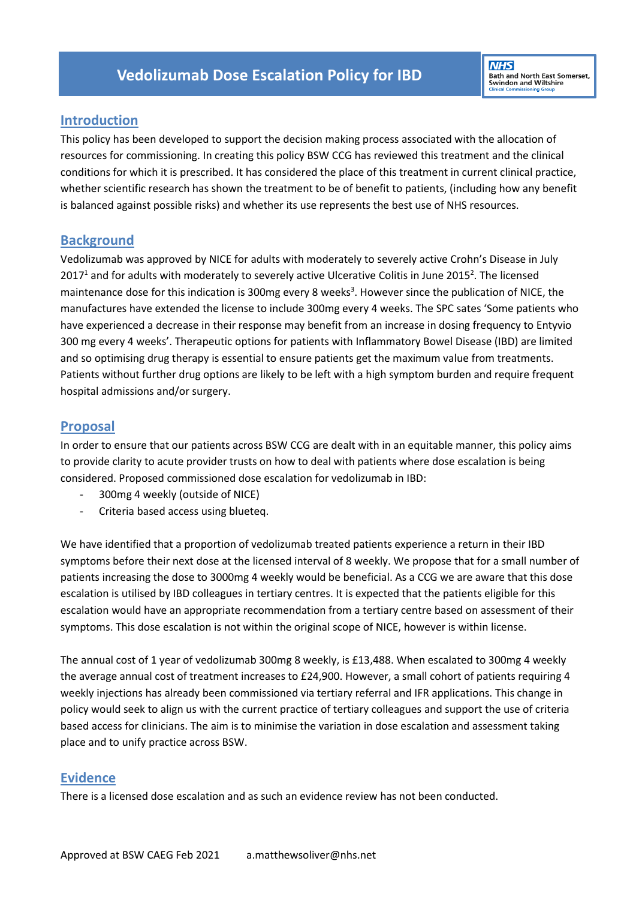# **Introduction**

This policy has been developed to support the decision making process associated with the allocation of resources for commissioning. In creating this policy BSW CCG has reviewed this treatment and the clinical conditions for which it is prescribed. It has considered the place of this treatment in current clinical practice, whether scientific research has shown the treatment to be of benefit to patients, (including how any benefit is balanced against possible risks) and whether its use represents the best use of NHS resources.

### **Background**

Vedolizumab was approved by NICE for adults with moderately to severely active Crohn's Disease in July 2017<sup>1</sup> and for adults with moderately to severely active Ulcerative Colitis in June 2015<sup>2</sup>. The licensed maintenance dose for this indication is 300mg every 8 weeks<sup>3</sup>. However since the publication of NICE, the manufactures have extended the license to include 300mg every 4 weeks. The SPC sates 'Some patients who have experienced a decrease in their response may benefit from an increase in dosing frequency to Entyvio 300 mg every 4 weeks'. Therapeutic options for patients with Inflammatory Bowel Disease (IBD) are limited and so optimising drug therapy is essential to ensure patients get the maximum value from treatments. Patients without further drug options are likely to be left with a high symptom burden and require frequent hospital admissions and/or surgery.

# **Proposal**

In order to ensure that our patients across BSW CCG are dealt with in an equitable manner, this policy aims to provide clarity to acute provider trusts on how to deal with patients where dose escalation is being considered. Proposed commissioned dose escalation for vedolizumab in IBD:

- 300mg 4 weekly (outside of NICE)
- Criteria based access using blueteq.

We have identified that a proportion of vedolizumab treated patients experience a return in their IBD symptoms before their next dose at the licensed interval of 8 weekly. We propose that for a small number of patients increasing the dose to 3000mg 4 weekly would be beneficial. As a CCG we are aware that this dose escalation is utilised by IBD colleagues in tertiary centres. It is expected that the patients eligible for this escalation would have an appropriate recommendation from a tertiary centre based on assessment of their symptoms. This dose escalation is not within the original scope of NICE, however is within license.

The annual cost of 1 year of vedolizumab 300mg 8 weekly, is £13,488. When escalated to 300mg 4 weekly the average annual cost of treatment increases to £24,900. However, a small cohort of patients requiring 4 weekly injections has already been commissioned via tertiary referral and IFR applications. This change in policy would seek to align us with the current practice of tertiary colleagues and support the use of criteria based access for clinicians. The aim is to minimise the variation in dose escalation and assessment taking place and to unify practice across BSW.

# **Evidence**

There is a licensed dose escalation and as such an evidence review has not been conducted.